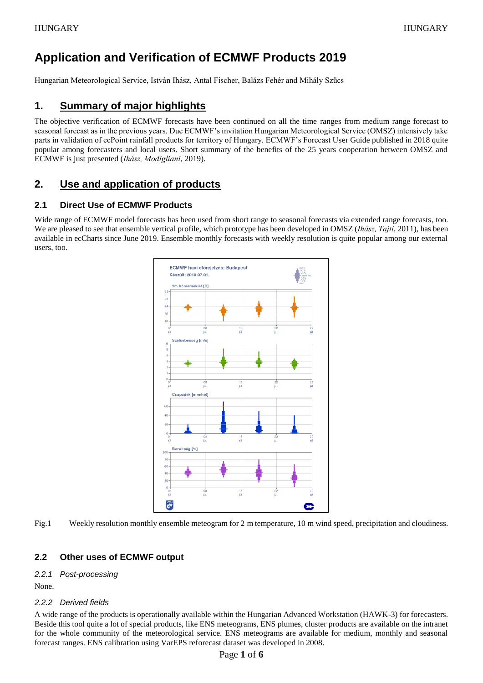# **Application and Verification of ECMWF Products 2019**

Hungarian Meteorological Service, István Ihász, Antal Fischer, Balázs Fehér and Mihály Szűcs

## **1. Summary of major highlights**

The objective verification of ECMWF forecasts have been continued on all the time ranges from medium range forecast to seasonal forecast as in the previous years. Due ECMWF's invitation Hungarian Meteorological Service (OMSZ) intensively take parts in validation of ecPoint rainfall products for territory of Hungary. ECMWF's Forecast User Guide published in 2018 quite popular among forecasters and local users. Short summary of the benefits of the 25 years cooperation between OMSZ and ECMWF is just presented (*Ihász, Modigliani*, 2019).

## **2. Use and application of products**

### **2.1 Direct Use of ECMWF Products**

Wide range of ECMWF model forecasts has been used from short range to seasonal forecasts via extended range forecasts, too. We are pleased to see that ensemble vertical profile, which prototype has been developed in OMSZ (*Ihász, Tajti*, 2011), has been available in ecCharts since June 2019. Ensemble monthly forecasts with weekly resolution is quite popular among our external users, too.



Fig.1 Weekly resolution monthly ensemble meteogram for 2 m temperature, 10 m wind speed, precipitation and cloudiness.

## **2.2 Other uses of ECMWF output**

#### *2.2.1 Post-processing*

None.

#### *2.2.2 Derived fields*

A wide range of the products is operationally available within the Hungarian Advanced Workstation (HAWK-3) for forecasters. Beside this tool quite a lot of special products, like ENS meteograms, ENS plumes, cluster products are available on the intranet for the whole community of the meteorological service. ENS meteograms are available for medium, monthly and seasonal forecast ranges. ENS calibration using VarEPS reforecast dataset was developed in 2008.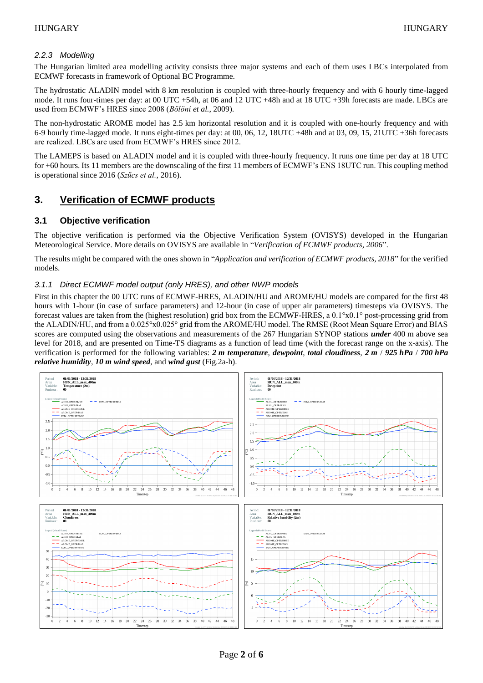#### *2.2.3 Modelling*

The Hungarian limited area modelling activity consists three major systems and each of them uses LBCs interpolated from ECMWF forecasts in framework of Optional BC Programme.

The hydrostatic ALADIN model with 8 km resolution is coupled with three-hourly frequency and with 6 hourly time-lagged mode. It runs four-times per day: at 00 UTC +54h, at 06 and 12 UTC +48h and at 18 UTC +39h forecasts are made. LBCs are used from ECMWF's HRES since 2008 (*Bölöni et al.*, 2009).

The non-hydrostatic AROME model has 2.5 km horizontal resolution and it is coupled with one-hourly frequency and with 6-9 hourly time-lagged mode. It runs eight-times per day: at 00, 06, 12, 18UTC +48h and at 03, 09, 15, 21UTC +36h forecasts are realized. LBCs are used from ECMWF's HRES since 2012.

The LAMEPS is based on ALADIN model and it is coupled with three-hourly frequency. It runs one time per day at 18 UTC for +60 hours. Its 11 members are the downscaling of the first 11 members of ECMWF's ENS 18UTC run. This coupling method is operational since 2016 (*Szűcs et al.*, 2016).

## **3. Verification of ECMWF products**

#### **3.1 Objective verification**

The objective verification is performed via the Objective Verification System (OVISYS) developed in the Hungarian Meteorological Service. More details on OVISYS are available in "*Verification of ECMWF products, 2006*".

The results might be compared with the ones shown in "*Application and verification of ECMWF products, 2018*" for the verified models.

#### *3.1.1 Direct ECMWF model output (only HRES), and other NWP models*

First in this chapter the 00 UTC runs of ECMWF-HRES, ALADIN/HU and AROME/HU models are compared for the first 48 hours with 1-hour (in case of surface parameters) and 12-hour (in case of upper air parameters) timesteps via OVISYS. The forecast values are taken from the (highest resolution) grid box from the ECMWF-HRES, a 0.1°x0.1° post-processing grid from the ALADIN/HU, and from a 0.025°x0.025° grid from the AROME/HU model. The RMSE (Root Mean Square Error) and BIAS scores are computed using the observations and measurements of the 267 Hungarian SYNOP stations *under* 400 m above sea level for 2018, and are presented on Time-TS diagrams as a function of lead time (with the forecast range on the x-axis). The verification is performed for the following variables: *2 m temperature*, *dewpoint*, *total cloudiness*, *2 m* / *925 hPa* / *700 hPa relative humidity*, *10 m wind speed*, and *wind gust* (Fig.2a-h).

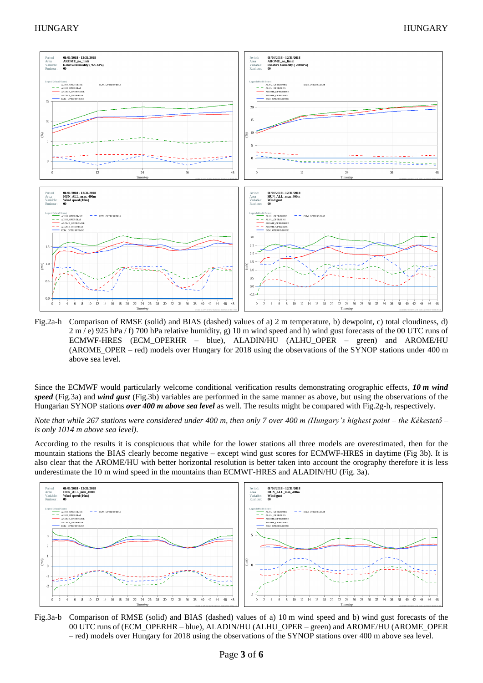

Fig.2a-h Comparison of RMSE (solid) and BIAS (dashed) values of a) 2 m temperature, b) dewpoint, c) total cloudiness, d) 2 m / e) 925 hPa / f) 700 hPa relative humidity, g) 10 m wind speed and h) wind gust forecasts of the 00 UTC runs of ECMWF-HRES (ECM\_OPERHR – blue), ALADIN/HU (ALHU\_OPER – green) and AROME/HU (AROME\_OPER – red) models over Hungary for 2018 using the observations of the SYNOP stations under 400 m above sea level.

Since the ECMWF would particularly welcome conditional verification results demonstrating orographic effects, *10 m wind speed* (Fig.3a) and *wind gust* (Fig.3b) variables are performed in the same manner as above, but using the observations of the Hungarian SYNOP stations *over 400 m above sea level* as well. The results might be compared with Fig.2g-h, respectively.

*Note that while 267 stations were considered under 400 m, then only 7 over 400 m (Hungary's highest point – the Kékestető – is only 1014 m above sea level)*.

According to the results it is conspicuous that while for the lower stations all three models are overestimated, then for the mountain stations the BIAS clearly become negative – except wind gust scores for ECMWF-HRES in daytime (Fig 3b). It is also clear that the AROME/HU with better horizontal resolution is better taken into account the orography therefore it is less underestimate the 10 m wind speed in the mountains than ECMWF-HRES and ALADIN/HU (Fig. 3a).



Fig.3a-b Comparison of RMSE (solid) and BIAS (dashed) values of a) 10 m wind speed and b) wind gust forecasts of the 00 UTC runs of (ECM\_OPERHR – blue), ALADIN/HU (ALHU\_OPER – green) and AROME/HU (AROME\_OPER – red) models over Hungary for 2018 using the observations of the SYNOP stations over 400 m above sea level.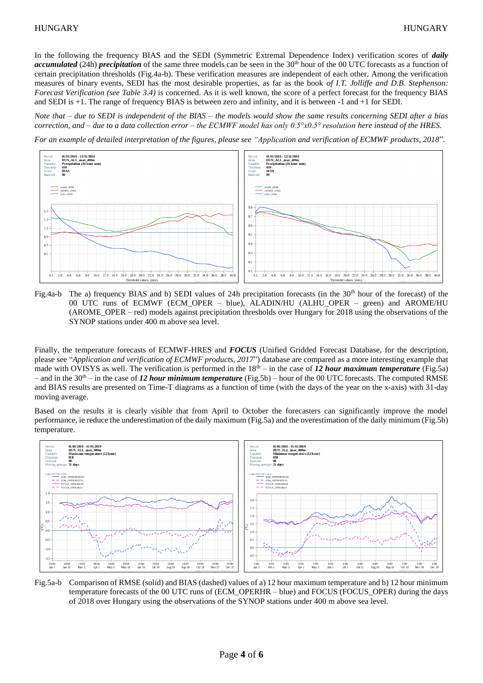In the following the frequency BIAS and the SEDI (Symmetric Extremal Dependence Index) verification scores of *daily accumulated* (24h) *precipitation* of the same three models can be seen in the 30<sup>th</sup> hour of the 00 UTC forecasts as a function of certain precipitation thresholds (Fig.4a-b). These verification measures are independent of each other. Among the verification measures of binary events, SEDI has the most desirable properties, as far as the book *of I.T. Jolliffe and D.B. Stephenson: Forecast Verification (see Table 3.4)* is concerned. As it is well known, the score of a perfect forecast for the frequency BIAS and SEDI is +1. The range of frequency BIAS is between zero and infinity, and it is between -1 and +1 for SEDI.

*Note that – due to SEDI is independent of the BIAS – the models would show the same results concerning SEDI after a bias correction, and – due to a data collection error – the ECMWF model has only 0.5°x0.5° resolution here instead of the HRES.*

*For an example of detailed interpretation of the figures, please see "Application and verification of ECMWF products, 2018*"*.*



Fig.4a-b The a) frequency BIAS and b) SEDI values of 24h precipitation forecasts (in the  $30<sup>th</sup>$  hour of the forecast) of the 00 UTC runs of ECMWF (ECM\_OPER – blue), ALADIN/HU (ALHU\_OPER – green) and AROME/HU (AROME\_OPER – red) models against precipitation thresholds over Hungary for 2018 using the observations of the SYNOP stations under 400 m above sea level.

Finally, the temperature forecasts of ECMWF-HRES and *FOCUS* (Unified Gridded Forecast Database, for the description, please see "*Application and verification of ECMWF products, 2017*") database are compared as a more interesting example that made with OVISYS as well. The verification is performed in the  $18<sup>th</sup> -$  in the case of 12 hour maximum temperature (Fig.5a) – and in the  $30<sup>th</sup>$  – in the case of 12 hour minimum temperature (Fig.5b) – hour of the 00 UTC forecasts. The computed RMSE and BIAS results are presented on Time-T diagrams as a function of time (with the days of the year on the x-axis) with 31-day moving average.

Based on the results it is clearly visible that from April to October the forecasters can significantly improve the model performance, ie reduce the underestimation of the daily maximum (Fig.5a) and the overestimation of the daily minimum (Fig.5b) temperature.



Fig.5a-b Comparison of RMSE (solid) and BIAS (dashed) values of a) 12 hour maximum temperature and b) 12 hour minimum temperature forecasts of the 00 UTC runs of (ECM\_OPERHR – blue) and FOCUS (FOCUS\_OPER) during the days of 2018 over Hungary using the observations of the SYNOP stations under 400 m above sea level.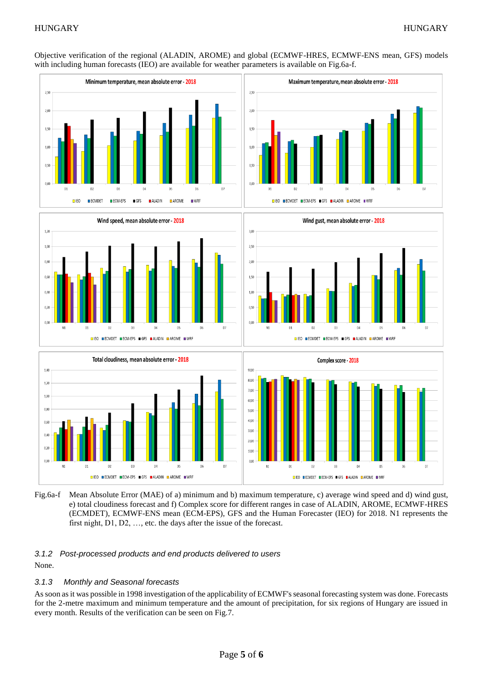Objective verification of the regional (ALADIN, AROME) and global (ECMWF-HRES, ECMWF-ENS mean, GFS) models with including human forecasts (IEO) are available for weather parameters is available on Fig.6a-f.



Fig.6a-f Mean Absolute Error (MAE) of a) minimum and b) maximum temperature, c) average wind speed and d) wind gust, e) total cloudiness forecast and f) Complex score for different ranges in case of ALADIN, AROME, ECMWF-HRES (ECMDET), ECMWF-ENS mean (ECM-EPS), GFS and the Human Forecaster (IEO) for 2018. N1 represents the first night, D1, D2, …, etc. the days after the issue of the forecast.

#### *3.1.2 Post-processed products and end products delivered to users*

None.

#### *3.1.3 Monthly and Seasonal forecasts*

As soon as it was possible in 1998 investigation of the applicability of ECMWF's seasonal forecasting system was done. Forecasts for the 2-metre maximum and minimum temperature and the amount of precipitation, for six regions of Hungary are issued in every month. Results of the verification can be seen on Fig.7.